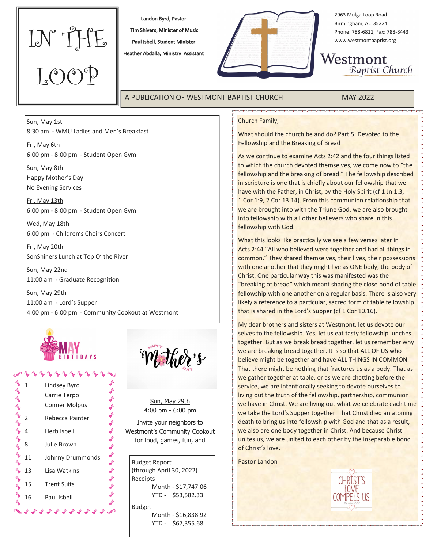

Landon Byrd, Pastor

 Tim Shivers, Minister of Music Paul Isbell, Student Minister

Heather Abdalla, Ministry Assistant



2963 Mulga Loop Road Birmingham, AL 35224 Phone: 788-6811, Fax: 788-8443 www.westmontbaptist.org

Westmont Baptist Church

# A PUBLICATION OF WESTMONT BAPTIST CHURCH MAY 2022

## Church Family,

What should the church be and do? Part 5: Devoted to the Fellowship and the Breaking of Bread

As we continue to examine Acts 2:42 and the four things listed to which the church devoted themselves, we come now to "the fellowship and the breaking of bread." The fellowship described in scripture is one that is chiefly about our fellowship that we have with the Father, in Christ, by the Holy Spirit (cf 1 Jn 1.3, 1 Cor 1:9, 2 Cor 13.14). From this communion relationship that we are brought into with the Triune God, we are also brought into fellowship with all other believers who share in this fellowship with God.

What this looks like practically we see a few verses later in Acts 2:44 "All who believed were together and had all things in common." They shared themselves, their lives, their possessions with one another that they might live as ONE body, the body of Christ. One particular way this was manifested was the "breaking of bread" which meant sharing the close bond of table fellowship with one another on a regular basis. There is also very likely a reference to a particular, sacred form of table fellowship that is shared in the Lord's Supper (cf 1 Cor 10.16).

My dear brothers and sisters at Westmont, let us devote our selves to the fellowship. Yes, let us eat tasty fellowship lunches together. But as we break bread together, let us remember why we are breaking bread together. It is so that ALL OF US who believe might be together and have ALL THINGS IN COMMON. That there might be nothing that fractures us as a body. That as we gather together at table, or as we are chatting before the service, we are intentionally seeking to devote ourselves to living out the truth of the fellowship, partnership, communion we have in Christ. We are living out what we celebrate each time we take the Lord's Supper together. That Christ died an atoning death to bring us into fellowship with God and that as a result, we also are one body together in Christ. And because Christ unites us, we are united to each other by the inseparable bond of Christ's love.

Pastor Landon



### Sun, May 1st

8:30 am - WMU Ladies and Men's Breakfast

Fri, May 6th 6:00 pm - 8:00 pm - Student Open Gym

Sun, May 8th Happy Mother's Day No Evening Services

Fri, May 13th 6:00 pm - 8:00 pm - Student Open Gym

Wed, May 18th 6:00 pm - Children's Choirs Concert

Fri, May 20th SonShiners Lunch at Top O' the River

Sun, May 22nd 11:00 am - Graduate Recognition

Sun, May 29th 11:00 am - Lord's Supper 4:00 pm - 6:00 pm - Community Cookout at Westmont



| 1  | Lindsey Byrd<br>Carrie Terpo<br><b>Conner Molpus</b> |  |
|----|------------------------------------------------------|--|
|    | Rebecca Painter                                      |  |
| 4  | Herb Isbell                                          |  |
| 8  | Julie Brown                                          |  |
| 11 | Johnny Drummonds                                     |  |
| 13 | Lisa Watkins                                         |  |
| 15 | <b>Trent Suits</b>                                   |  |
| 16 | Paul Isbell                                          |  |
|    |                                                      |  |



Sun, May 29th 4:00 pm - 6:00 pm

Invite your neighbors to Westmont's Community Cookout for food, games, fun, and

Budget Report (through April 30, 2022) Receipts Month - \$17,747.06 YTD - \$53,582.33 **Budget** Month - \$16,838.92

YTD - \$67,355.68